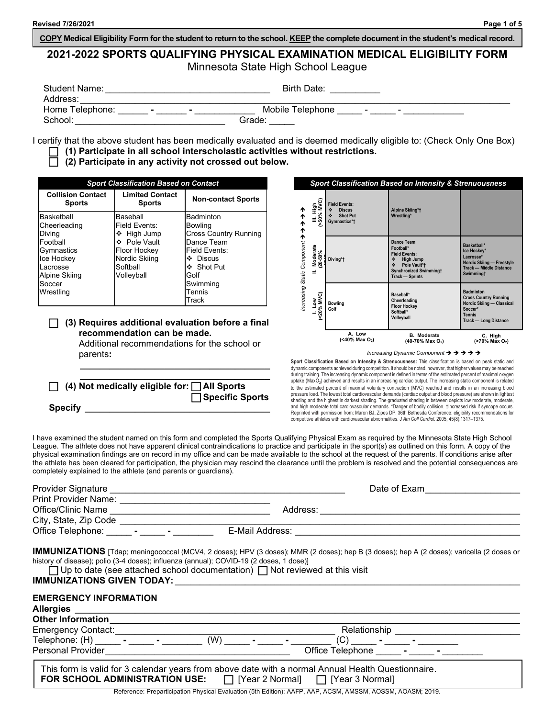**COPY Medical Eligibility Form for the student to return to the school. KEEP the complete document in the student's medical record.**

# **2021-2022 SPORTS QUALIFYING PHYSICAL EXAMINATION MEDICAL ELIGIBILITY FORM**

Minnesota State High School League

| Student Name:   | <b>Birth Date:</b>                                                  |
|-----------------|---------------------------------------------------------------------|
| Address:        |                                                                     |
| Home Telephone: | Mobile Telephone<br>$\overline{\phantom{0}}$<br>$\blacksquare$<br>- |
| School:         | Grade:                                                              |

I certify that the above student has been medically evaluated and is deemed medically eligible to: (Check Only One Box) **(1) Participate in all school interscholastic activities without restrictions.**

## **(2) Participate in any activity not crossed out below.**

| <b>Sport Classification Based on Contact</b>                                                              |                                                                                                                     |                                                                                                                                     |
|-----------------------------------------------------------------------------------------------------------|---------------------------------------------------------------------------------------------------------------------|-------------------------------------------------------------------------------------------------------------------------------------|
| <b>Collision Contact</b><br><b>Limited Contact</b><br><b>Sports</b><br><b>Sports</b>                      |                                                                                                                     | <b>Non-contact Sports</b>                                                                                                           |
| Basketball<br>Cheerleading<br>Diving<br>Football<br>Gymnastics<br>Ice Hockey<br>Lacrosse<br>Alpine Skiing | Baseball<br>Field Events:<br>❖ High Jump<br>❖ Pole Vault<br>Floor Hockey<br>Nordic Skiing<br>Softball<br>Volleyball | <b>Badminton</b><br><b>Bowling</b><br><b>Cross Country Running</b><br>Dance Team<br>Field Events:<br>❖ Discus<br>❖ Shot Put<br>Golf |
| Soccer<br>Wrestling                                                                                       |                                                                                                                     | Swimming<br>Tennis<br>Track                                                                                                         |

#### **(3) Requires additional evaluation before a final recommendation can be made.**

Additional recommendations for the school or parents**:**

**\_\_\_\_\_\_\_\_\_\_\_\_\_\_\_\_\_\_\_\_\_\_\_\_\_\_\_\_\_\_\_\_\_\_\_\_\_\_**

| $\Box$ (4) Not medically eligible for: $\Box$ All Sports |                        |
|----------------------------------------------------------|------------------------|
|                                                          | $\Box$ Specific Sports |
| <b>Specify</b>                                           |                        |

|                                  |                               |                                                                                    | <b>Sport Classification Based on Intensity &amp; Strenuousness</b>                                                                                       |                                                                                                                                           |
|----------------------------------|-------------------------------|------------------------------------------------------------------------------------|----------------------------------------------------------------------------------------------------------------------------------------------------------|-------------------------------------------------------------------------------------------------------------------------------------------|
|                                  | III. High<br>(>50% MVC)       | <b>Field Events:</b><br>٠<br><b>Discus</b><br>٠<br><b>Shot Put</b><br>Gymnastics*† | Alpine Skiing*†<br>Wrestling*                                                                                                                            |                                                                                                                                           |
| ↑ ↑ ↑ ↑ rueuoduo signs prisensuu | Moderate<br>$(20-50\%)$<br>Ë, | Diving*t                                                                           | Dance Team<br>Football*<br><b>Field Events:</b><br><b>High Jump</b><br>٠<br>Pole Vault*†<br>٠<br><b>Synchronized Swimmingt</b><br><b>Track - Sprints</b> | Basketball*<br>Ice Hockey*<br>Lacrosse*<br>Nordic Skiing - Freestyle<br><b>Track - Middle Distance</b><br><b>Swimmingt</b>                |
|                                  | 1. Low<br>(<20% MVC)          | <b>Bowling</b><br>Golf                                                             | Baseball*<br>Cheerleading<br><b>Floor Hockey</b><br>Softball*<br>Volleyball                                                                              | <b>Badminton</b><br><b>Cross Country Running</b><br>Nordic Skiing - Classical<br>Soccer*<br><b>Tennis</b><br><b>Track - Long Distance</b> |
|                                  |                               | A. Low<br>(<40% Max O <sub>2</sub> )                                               | <b>B.</b> Moderate<br>$(40-70\%$ Max $O_2)$                                                                                                              | C. High<br>(>70% Max O <sub>2</sub> )                                                                                                     |

*Increasing Dynamic Component*

**Sport Classification Based on Intensity & Strenuousness:** This classification is based on peak static and dynamic components achieved during competition. It should be noted, however, that higher values may be reached during training. The increasing dynamic component is defined in terms of the estimated percent of maximal oxygen uptake (MaxO<sub>2</sub>) achieved and results in an increasing cardiac output. The increasing static component is related to the estimated percent of maximal voluntary contraction (MVC) reached and results in an increasing blood pressure load. The lowest total cardiovascular demands (cardiac output and blood pressure) are shown in lightest shading and the highest in darkest shading. The graduated shading in between depicts low moderate, moderate, and high moderate total cardiovascular demands. \*Danger of bodily collision. †Increased risk if syncope occurs. Reprinted with permission from: Maron BJ, Zipes DP. 36th Bethesda Conference: eligibility recommendations for competitive athletes with cardiovascular abnormalities. *J Am Coll Cardiol.* 2005; 45(8):1317–1375.

I have examined the student named on this form and completed the Sports Qualifying Physical Exam as required by the Minnesota State High School League. The athlete does not have apparent clinical contraindications to practice and participate in the sport(s) as outlined on this form. A copy of the physical examination findings are on record in my office and can be made available to the school at the request of the parents. If conditions arise after the athlete has been cleared for participation, the physician may rescind the clearance until the problem is resolved and the potential consequences are completely explained to the athlete (and parents or guardians).

|                                                                                                                                                                                                                                                                                                                                                                                                                                                      | Date of Exam                                                                                                                              |
|------------------------------------------------------------------------------------------------------------------------------------------------------------------------------------------------------------------------------------------------------------------------------------------------------------------------------------------------------------------------------------------------------------------------------------------------------|-------------------------------------------------------------------------------------------------------------------------------------------|
| Office/Clinic Name                                                                                                                                                                                                                                                                                                                                                                                                                                   |                                                                                                                                           |
|                                                                                                                                                                                                                                                                                                                                                                                                                                                      |                                                                                                                                           |
| history of disease); polio (3-4 doses); influenza (annual); COVID-19 (2 doses, 1 dose)]<br>$\Box$ Up to date (see attached school documentation) $\Box$ Not reviewed at this visit<br>IMMUNIZATIONS GIVEN TODAY: WE ARREST AND THE RESERVE TO A REPORT OF A STRUCK OF A STRUCK OF A STRUCK OF A STRUCK OF A STRUCK OF A STRUCK OF A STRUCK OF A STRUCK OF A STRUCK OF A STRUCK OF A STRUCK OF A STRUCK OF A STRUCK O<br><b>EMERGENCY INFORMATION</b> | IMMUNIZATIONS [Tdap; meningococcal (MCV4, 2 doses); HPV (3 doses); MMR (2 doses); hep B (3 doses); hep A (2 doses); varicella (2 doses or |
|                                                                                                                                                                                                                                                                                                                                                                                                                                                      |                                                                                                                                           |
|                                                                                                                                                                                                                                                                                                                                                                                                                                                      | Relationship ________________                                                                                                             |
|                                                                                                                                                                                                                                                                                                                                                                                                                                                      |                                                                                                                                           |
| This form is valid for 3 calendar years from above date with a normal Annual Health Questionnaire.<br>FOR SCHOOL ADMINISTRATION USE: $\Box$ [Year 2 Normal] $\Box$ [Year 3 Normal]                                                                                                                                                                                                                                                                   |                                                                                                                                           |
|                                                                                                                                                                                                                                                                                                                                                                                                                                                      | Reference: Preparticipation Physical Evaluation (5th Edition): AAER AAR ACSM AMSSM AOSSM AOASM. 2010                                      |

on Physical Evaluation (5th Edition): AAFP, AAP, ACSM, AMSSM, AOSSM, AOASM; 2019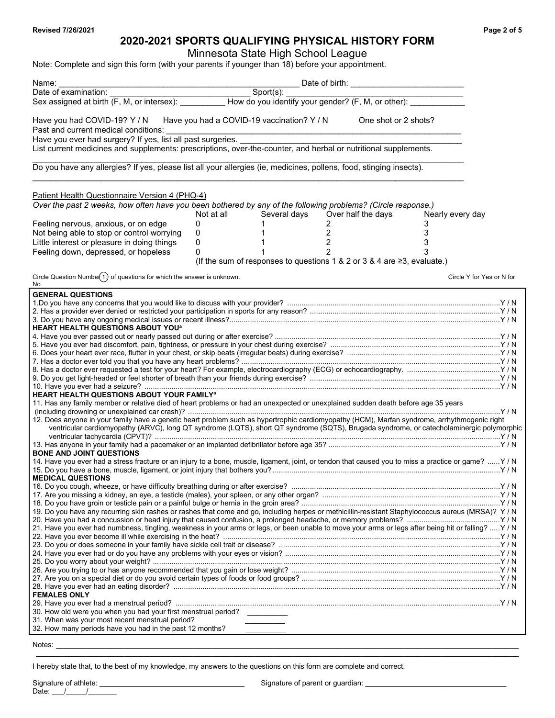## **2020-2021 SPORTS QUALIFYING PHYSICAL HISTORY FORM**

Minnesota State High School League

Note: Complete and sign this form (with your parents if younger than 18) before your appointment.

| Name:                                                                                                                                                                                                                                                                                                                                                                                                                                                                                                                                                                                                                                                                                                                                                                                                                                                                                                                                                    |                                            |              |                                                                         |                      |                           |
|----------------------------------------------------------------------------------------------------------------------------------------------------------------------------------------------------------------------------------------------------------------------------------------------------------------------------------------------------------------------------------------------------------------------------------------------------------------------------------------------------------------------------------------------------------------------------------------------------------------------------------------------------------------------------------------------------------------------------------------------------------------------------------------------------------------------------------------------------------------------------------------------------------------------------------------------------------|--------------------------------------------|--------------|-------------------------------------------------------------------------|----------------------|---------------------------|
| Date of examination:                                                                                                                                                                                                                                                                                                                                                                                                                                                                                                                                                                                                                                                                                                                                                                                                                                                                                                                                     |                                            | Sport(s):    |                                                                         |                      |                           |
|                                                                                                                                                                                                                                                                                                                                                                                                                                                                                                                                                                                                                                                                                                                                                                                                                                                                                                                                                          |                                            |              |                                                                         |                      |                           |
| Have you had COVID-19? Y / N<br>Past and current medical conditions:                                                                                                                                                                                                                                                                                                                                                                                                                                                                                                                                                                                                                                                                                                                                                                                                                                                                                     | Have you had a COVID-19 vaccination? Y / N |              |                                                                         | One shot or 2 shots? |                           |
| Have you ever had surgery? If yes, list all past surgeries.<br>List current medicines and supplements: prescriptions, over-the-counter, and herbal or nutritional supplements.                                                                                                                                                                                                                                                                                                                                                                                                                                                                                                                                                                                                                                                                                                                                                                           |                                            |              |                                                                         |                      |                           |
| Do you have any allergies? If yes, please list all your allergies (ie, medicines, pollens, food, stinging insects).                                                                                                                                                                                                                                                                                                                                                                                                                                                                                                                                                                                                                                                                                                                                                                                                                                      |                                            |              |                                                                         |                      |                           |
| Patient Health Questionnaire Version 4 (PHQ-4)<br>Over the past 2 weeks, how often have you been bothered by any of the following problems? (Circle response.)                                                                                                                                                                                                                                                                                                                                                                                                                                                                                                                                                                                                                                                                                                                                                                                           | Not at all                                 | Several days | Over half the days                                                      | Nearly every day     |                           |
| Feeling nervous, anxious, or on edge                                                                                                                                                                                                                                                                                                                                                                                                                                                                                                                                                                                                                                                                                                                                                                                                                                                                                                                     | 0                                          |              | 2                                                                       | 3                    |                           |
| Not being able to stop or control worrying<br>Little interest or pleasure in doing things<br>Feeling down, depressed, or hopeless                                                                                                                                                                                                                                                                                                                                                                                                                                                                                                                                                                                                                                                                                                                                                                                                                        | 0<br>0<br>0                                | 1            | $\overline{2}$<br>$\sqrt{2}$<br>2                                       | 3<br>3               |                           |
|                                                                                                                                                                                                                                                                                                                                                                                                                                                                                                                                                                                                                                                                                                                                                                                                                                                                                                                                                          |                                            |              | (If the sum of responses to questions 1 & 2 or 3 & 4 are ≥3, evaluate.) |                      |                           |
| Circle Question Numbe $(1)$ of questions for which the answer is unknown.<br>No                                                                                                                                                                                                                                                                                                                                                                                                                                                                                                                                                                                                                                                                                                                                                                                                                                                                          |                                            |              |                                                                         |                      | Circle Y for Yes or N for |
| <b>GENERAL QUESTIONS</b><br>HEART HEALTH QUESTIONS ABOUT YOU <sup>a</sup><br><b>HEART HEALTH QUESTIONS ABOUT YOUR FAMILY<sup>a</sup></b><br>11. Has any family member or relative died of heart problems or had an unexpected or unexplained sudden death before age 35 years<br>12. Does anyone in your family have a genetic heart problem such as hypertrophic cardiomyopathy (HCM), Marfan syndrome, arrhythmogenic right<br>ventricular cardiomyopathy (ARVC), long QT syndrome (LQTS), short QT syndrome (SQTS), Brugada syndrome, or catecholaminergic polymorphic<br><b>BONE AND JOINT QUESTIONS</b><br>14. Have you ever had a stress fracture or an injury to a bone, muscle, ligament, joint, or tendon that caused you to miss a practice or game?  Y / N<br><b>MEDICAL QUESTIONS</b><br>19. Do you have any recurring skin rashes or rashes that come and go, including herpes or methicillin-resistant Staphylococcus aureus (MRSA)? Y / N |                                            |              |                                                                         |                      |                           |
| 21. Have you ever had numbness, tingling, weakness in your arms or legs, or been unable to move your arms or legs after being hit or falling?  Y / N                                                                                                                                                                                                                                                                                                                                                                                                                                                                                                                                                                                                                                                                                                                                                                                                     |                                            |              |                                                                         |                      |                           |
|                                                                                                                                                                                                                                                                                                                                                                                                                                                                                                                                                                                                                                                                                                                                                                                                                                                                                                                                                          |                                            |              |                                                                         |                      |                           |
| <b>FEMALES ONLY</b><br>30. How old were you when you had your first menstrual period? __________<br>31. When was your most recent menstrual period?<br>32. How many periods have you had in the past 12 months?                                                                                                                                                                                                                                                                                                                                                                                                                                                                                                                                                                                                                                                                                                                                          |                                            |              |                                                                         |                      |                           |

Notes: \_\_\_\_\_\_\_\_\_\_\_\_\_\_\_\_\_\_\_\_\_\_\_\_\_\_\_\_\_\_\_\_\_\_\_\_\_\_\_\_\_\_\_\_\_\_\_\_\_\_\_\_\_\_\_\_\_\_\_\_\_\_\_\_\_\_\_\_\_\_\_\_\_\_\_\_\_\_\_\_\_\_\_\_\_\_\_\_\_\_\_\_\_\_\_\_\_\_\_\_\_\_\_\_\_\_\_\_\_\_\_\_\_\_\_

I hereby state that, to the best of my knowledge, my answers to the questions on this form are complete and correct.

\_\_\_\_\_\_\_\_\_\_\_\_\_\_\_\_\_\_\_\_\_\_\_\_\_\_\_\_\_\_\_\_\_\_\_\_\_\_\_\_\_\_\_\_\_\_\_\_\_\_\_\_\_\_\_\_\_\_\_\_\_\_\_\_\_\_\_\_\_\_\_\_\_\_\_\_\_\_\_\_\_\_\_\_\_\_\_\_\_\_\_\_\_\_\_\_\_\_\_\_\_\_\_\_\_\_\_\_\_\_\_\_\_\_\_\_\_\_\_\_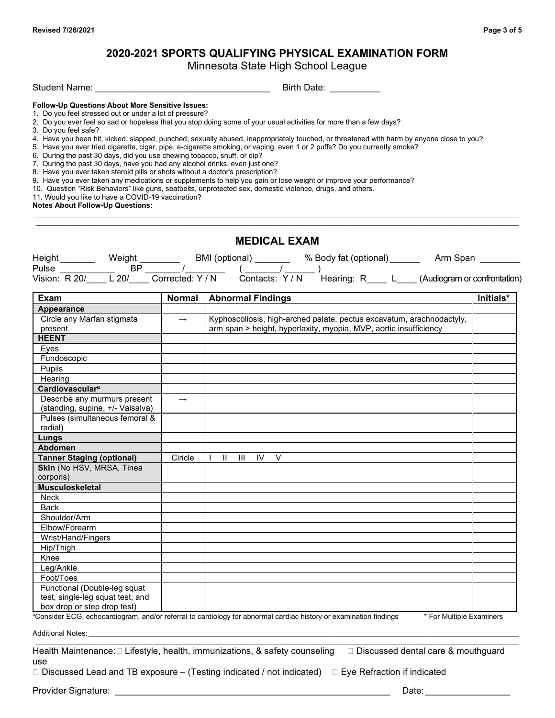## **2020-2021 SPORTS QUALIFYING PHYSICAL EXAMINATION FORM**

Minnesota State High School League

\_\_\_\_\_\_\_\_\_\_\_\_\_\_\_\_\_\_\_\_\_\_\_\_\_\_\_\_\_\_\_\_\_\_\_\_\_\_\_\_\_\_\_\_\_\_\_\_\_\_\_\_\_\_\_\_\_\_\_\_\_\_\_\_\_\_\_\_\_\_\_\_\_\_\_\_\_\_\_\_\_\_\_\_\_\_\_\_\_\_\_\_\_\_\_\_\_\_\_\_\_\_\_\_\_\_\_\_\_\_\_\_\_\_\_\_\_\_\_\_ \_\_\_\_\_\_\_\_\_\_\_\_\_\_\_\_\_\_\_\_\_\_\_\_\_\_\_\_\_\_\_\_\_\_\_\_\_\_\_\_\_\_\_\_\_\_\_\_\_\_\_\_\_\_\_\_\_\_\_\_\_\_\_\_\_\_\_\_\_\_\_\_\_\_\_\_\_\_\_\_\_\_\_\_\_\_\_\_\_\_\_\_\_\_\_\_\_\_\_\_\_\_\_\_\_\_\_\_\_\_\_\_\_\_\_\_\_\_\_\_

Student Name: \_\_\_\_\_\_\_\_\_\_\_\_\_\_\_\_\_\_\_\_\_\_\_\_\_\_\_\_\_\_\_\_\_\_\_ Birth Date: \_\_\_\_\_\_\_\_\_\_

## **Follow-Up Questions About More Sensitive Issues:**

- 1. Do you feel stressed out or under a lot of pressure?
- 2. Do you ever feel so sad or hopeless that you stop doing some of your usual activities for more than a few days?
- 3. Do you feel safe?
- 4. Have you been hit, kicked, slapped, punched, sexually abused, inappropriately touched, or threatened with harm by anyone close to you?
- 5. Have you ever tried cigarette, cigar, pipe, e-cigarette smoking, or vaping, even 1 or 2 puffs? Do you currently smoke?
- 6. During the past 30 days, did you use chewing tobacco, snuff, or dip?
- 7. During the past 30 days, have you had any alcohol drinks, even just one?
- 8. Have you ever taken steroid pills or shots without a doctor's prescription?
- 9. Have you ever taken any medications or supplements to help you gain or lose weight or improve your performance?
- 10. Question "Risk Behaviors" like guns, seatbelts, unprotected sex, domestic violence, drugs, and others.
- 11. Would you like to have a COVID-19 vaccination?

**Notes About Follow-Up Questions:**

|                                                                  |               | <b>MEDICAL EXAM</b>                                                                                                                                                                                                            |           |
|------------------------------------------------------------------|---------------|--------------------------------------------------------------------------------------------------------------------------------------------------------------------------------------------------------------------------------|-----------|
|                                                                  |               |                                                                                                                                                                                                                                |           |
|                                                                  |               |                                                                                                                                                                                                                                |           |
|                                                                  |               | Height Weight BMI (optional) Weight BMI (optional) Weight Manusch Mill (optional) Weight Mulse Mulse Mulse BP MI (optional) Weight Mulse Pulse Mulse Mulse Mulse Mulse Mulse Mulse Mulse BP Mulse (Audiogram or confrontation) |           |
| Exam                                                             |               | <b>Normal Abnormal Findings</b>                                                                                                                                                                                                | Initials* |
| <b>Appearance</b>                                                |               |                                                                                                                                                                                                                                |           |
| Circle any Marfan stigmata<br>present                            | $\rightarrow$ | Kyphoscoliosis, high-arched palate, pectus excavatum, arachnodactyly,<br>arm span > height, hyperlaxity, myopia, MVP, aortic insufficiency                                                                                     |           |
| <b>HEENT</b>                                                     |               |                                                                                                                                                                                                                                |           |
| Eyes                                                             |               |                                                                                                                                                                                                                                |           |
| Fundoscopic                                                      |               |                                                                                                                                                                                                                                |           |
| Pupils                                                           |               |                                                                                                                                                                                                                                |           |
| Hearing                                                          |               |                                                                                                                                                                                                                                |           |
| <b>Cardiovasculara</b>                                           |               |                                                                                                                                                                                                                                |           |
| Describe any murmurs present<br>(standing, supine, +/- Valsalva) | $\rightarrow$ |                                                                                                                                                                                                                                |           |
| Pulses (simultaneous femoral &<br>radial)                        |               |                                                                                                                                                                                                                                |           |
| Lungs                                                            |               |                                                                                                                                                                                                                                |           |
| <b>Abdomen</b>                                                   |               |                                                                                                                                                                                                                                |           |
| <b>Tanner Staging (optional)</b>                                 | Ciricle       | $\mathbf{H}$<br>Ш<br>IV.<br>$\vee$<br>$\mathbf{I}$                                                                                                                                                                             |           |
| Skin (No HSV, MRSA, Tinea<br>corporis)                           |               |                                                                                                                                                                                                                                |           |
| <b>Musculoskeletal</b>                                           |               |                                                                                                                                                                                                                                |           |
| <b>Neck</b>                                                      |               |                                                                                                                                                                                                                                |           |
| <b>Back</b>                                                      |               |                                                                                                                                                                                                                                |           |
| Shoulder/Arm                                                     |               |                                                                                                                                                                                                                                |           |
| Elbow/Forearm                                                    |               |                                                                                                                                                                                                                                |           |
| Wrist/Hand/Fingers                                               |               |                                                                                                                                                                                                                                |           |
| Hip/Thigh                                                        |               |                                                                                                                                                                                                                                |           |
| Knee                                                             |               |                                                                                                                                                                                                                                |           |
| Leg/Ankle                                                        |               |                                                                                                                                                                                                                                |           |
| Foot/Toes                                                        |               |                                                                                                                                                                                                                                |           |
| Functional (Double-leg squat<br>test, single-leg squat test, and |               |                                                                                                                                                                                                                                |           |
| box drop or step drop test)                                      |               |                                                                                                                                                                                                                                |           |

a Consider ECG, echocardiogram, and/or referral to cardiology for abnormal cardiac history or examination findings \* For Multiple Examiners

Additional Notes: **\_\_\_\_\_\_\_\_\_\_\_\_\_\_\_\_\_\_\_\_\_\_\_\_\_\_\_\_\_\_\_\_\_\_\_\_\_\_\_\_\_\_\_\_\_\_\_\_\_\_\_\_\_\_\_\_\_\_\_\_\_\_\_\_\_\_\_\_\_\_\_\_\_\_\_\_\_\_\_\_\_\_\_\_\_\_\_\_\_\_\_\_\_\_\_\_\_\_\_\_\_\_\_\_\_\_\_**

Health Maintenance:  $\Box$  Lifestyle, health, immunizations, & safety counseling  $\Box$  Discussed dental care & mouthguard use

**\_\_\_\_\_\_\_\_\_\_\_\_\_\_\_\_\_\_\_\_\_\_\_\_\_\_\_\_\_\_\_\_\_\_\_\_\_\_\_\_\_\_\_\_\_\_\_\_\_\_\_\_\_\_\_\_\_\_\_\_\_\_\_\_\_\_\_\_\_\_\_\_\_\_\_\_\_\_\_\_\_\_\_\_\_\_\_\_\_\_\_\_\_\_\_\_\_\_\_\_\_\_\_\_\_\_\_\_\_\_\_\_\_\_\_\_\_\_\_\_**

 $\Box$  Discussed Lead and TB exposure – (Testing indicated / not indicated)  $\quad \Box$  Eye Refraction if indicated

Provider Signature: \_\_\_\_\_\_\_\_\_\_\_\_\_\_\_\_\_\_\_\_\_\_\_\_\_\_\_\_\_\_\_\_\_\_\_\_\_\_\_\_\_\_\_\_\_\_\_\_\_\_\_\_\_\_\_ Date: \_\_\_\_\_\_\_\_\_\_\_\_\_\_\_\_\_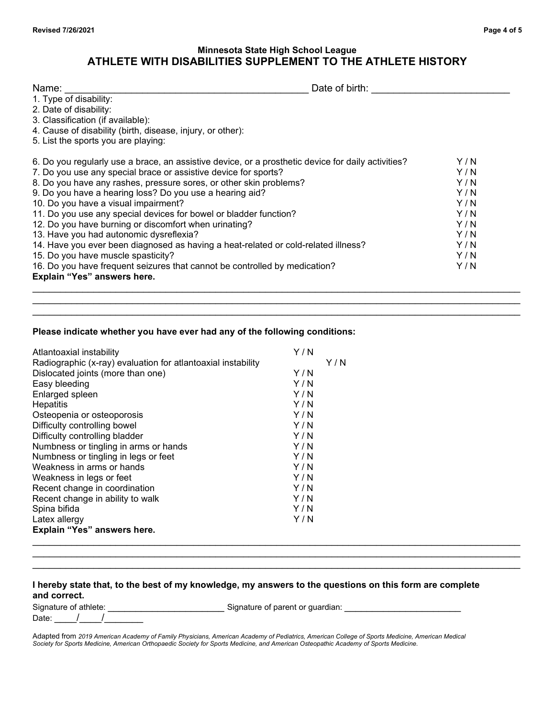## **Minnesota State High School League ATHLETE WITH DISABILITIES SUPPLEMENT TO THE ATHLETE HISTORY**

| Name:                                                                                              | Date of birth: |  |
|----------------------------------------------------------------------------------------------------|----------------|--|
| 1. Type of disability:                                                                             |                |  |
| 2. Date of disability:                                                                             |                |  |
| 3. Classification (if available):                                                                  |                |  |
| 4. Cause of disability (birth, disease, injury, or other):                                         |                |  |
| 5. List the sports you are playing:                                                                |                |  |
| 6. Do you regularly use a brace, an assistive device, or a prosthetic device for daily activities? | Y/N            |  |
| 7. Do you use any special brace or assistive device for sports?                                    | Y / N          |  |
| 8. Do you have any rashes, pressure sores, or other skin problems?                                 | Y/N            |  |
| 9. Do you have a hearing loss? Do you use a hearing aid?                                           | Y/N            |  |
| 10. Do you have a visual impairment?                                                               | Y/N            |  |
| 11. Do you use any special devices for bowel or bladder function?                                  | Y/N            |  |
| 12. Do you have burning or discomfort when urinating?                                              | Y/N            |  |
| 13. Have you had autonomic dysreflexia?                                                            | Y/N            |  |
| 14. Have you ever been diagnosed as having a heat-related or cold-related illness?                 | Y/N            |  |
| 15. Do you have muscle spasticity?                                                                 | Y/N            |  |
| 16. Do you have frequent seizures that cannot be controlled by medication?                         | Y / N          |  |
| Explain "Yes" answers here.                                                                        |                |  |

 $\_$  , and the set of the set of the set of the set of the set of the set of the set of the set of the set of the set of the set of the set of the set of the set of the set of the set of the set of the set of the set of th  $\_$  , and the set of the set of the set of the set of the set of the set of the set of the set of the set of the set of the set of the set of the set of the set of the set of the set of the set of the set of the set of th

### **Please indicate whether you have ever had any of the following conditions:**

| Atlantoaxial instability                                     | Y/N   |     |
|--------------------------------------------------------------|-------|-----|
| Radiographic (x-ray) evaluation for atlantoaxial instability |       | Y/N |
| Dislocated joints (more than one)                            | Y/N   |     |
| Easy bleeding                                                | Y/N   |     |
| Enlarged spleen                                              | Y / N |     |
| Hepatitis                                                    | Y/N   |     |
| Osteopenia or osteoporosis                                   | Y/N   |     |
| Difficulty controlling bowel                                 | Y / N |     |
| Difficulty controlling bladder                               | Y/N   |     |
| Numbness or tingling in arms or hands                        | Y / N |     |
| Numbness or tingling in legs or feet                         | Y / N |     |
| Weakness in arms or hands                                    | Y/N   |     |
| Weakness in legs or feet                                     | Y/N   |     |
| Recent change in coordination                                | Y/N   |     |
| Recent change in ability to walk                             | Y/N   |     |
| Spina bifida                                                 | Y/N   |     |
| Latex allergy                                                | Y/N   |     |
| Explain "Yes" answers here.                                  |       |     |
|                                                              |       |     |

## **I hereby state that, to the best of my knowledge, my answers to the questions on this form are complete and correct.**

Signature of athlete: \_\_\_\_\_\_\_\_\_\_\_\_\_\_\_\_\_\_\_\_\_ Signature of parent or guardian: \_\_\_\_\_\_\_\_\_\_\_\_\_\_\_\_\_\_\_\_\_

Date: / /

 $\_$  ,  $\_$  ,  $\_$  ,  $\_$  ,  $\_$  ,  $\_$  ,  $\_$  ,  $\_$  ,  $\_$  ,  $\_$  ,  $\_$  ,  $\_$  ,  $\_$  ,  $\_$  ,  $\_$  ,  $\_$  ,  $\_$  ,  $\_$  ,  $\_$  ,  $\_$  ,  $\_$  ,  $\_$  ,  $\_$  ,  $\_$  ,  $\_$  ,  $\_$  ,  $\_$  ,  $\_$  ,  $\_$  ,  $\_$  ,  $\_$  ,  $\_$  ,  $\_$  ,  $\_$  ,  $\_$  ,  $\_$  ,  $\_$  ,  $\_$  , and the set of the set of the set of the set of the set of the set of the set of the set of the set of the set of the set of the set of the set of the set of the set of the set of the set of the set of the set of th

Adapted from *2019 American Academy of Family Physicians, American Academy of Pediatrics, American College of Sports Medicine, American Medical Society for Sports Medicine, American Orthopaedic Society for Sports Medicine, and American Osteopathic Academy of Sports Medicine.*